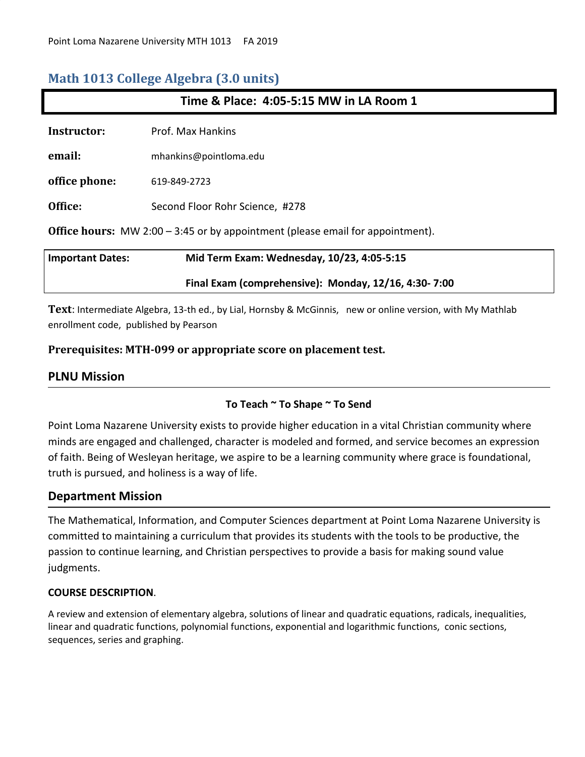## **Math 1013 College Algebra (3.0 units)**

| Time & Place: 4:05-5:15 MW in LA Room 1                                               |                                                      |  |  |
|---------------------------------------------------------------------------------------|------------------------------------------------------|--|--|
| Instructor:                                                                           | Prof. Max Hankins                                    |  |  |
| email:                                                                                | mhankins@pointloma.edu                               |  |  |
| office phone:                                                                         | 619-849-2723                                         |  |  |
| Office:                                                                               | Second Floor Rohr Science, #278                      |  |  |
| <b>Office hours:</b> MW 2:00 – 3:45 or by appointment (please email for appointment). |                                                      |  |  |
| <b>Important Dates:</b>                                                               | Mid Term Exam: Wednesday, 10/23, 4:05-5:15           |  |  |
|                                                                                       | Final Exam (comprehensive): Monday, 12/16, 4:30-7:00 |  |  |

**Text**: Intermediate Algebra, 13-th ed., by Lial, Hornsby & McGinnis, new or online version, with My Mathlab enrollment code, published by Pearson

## **Prerequisites: MTH-099 or appropriate score on placement test.**

## **PLNU Mission**

## **To Teach ~ To Shape ~ To Send**

Point Loma Nazarene University exists to provide higher education in a vital Christian community where minds are engaged and challenged, character is modeled and formed, and service becomes an expression of faith. Being of Wesleyan heritage, we aspire to be a learning community where grace is foundational, truth is pursued, and holiness is a way of life.

## **Department Mission**

The Mathematical, Information, and Computer Sciences department at Point Loma Nazarene University is committed to maintaining a curriculum that provides its students with the tools to be productive, the passion to continue learning, and Christian perspectives to provide a basis for making sound value judgments.

### **COURSE DESCRIPTION**.

A review and extension of elementary algebra, solutions of linear and quadratic equations, radicals, inequalities, linear and quadratic functions, polynomial functions, exponential and logarithmic functions, conic sections, sequences, series and graphing.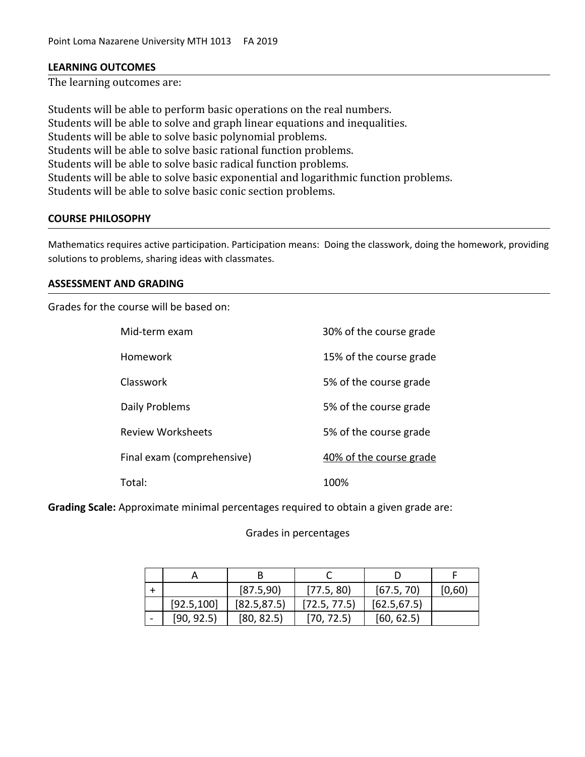### **LEARNING OUTCOMES**

The learning outcomes are:

Students will be able to perform basic operations on the real numbers. Students will be able to solve and graph linear equations and inequalities. Students will be able to solve basic polynomial problems. Students will be able to solve basic rational function problems. Students will be able to solve basic radical function problems. Students will be able to solve basic exponential and logarithmic function problems. Students will be able to solve basic conic section problems.

#### **COURSE PHILOSOPHY**

Mathematics requires active participation. Participation means: Doing the classwork, doing the homework, providing solutions to problems, sharing ideas with classmates.

### **ASSESSMENT AND GRADING**

Grades for the course will be based on:

| Mid-term exam              | 30% of the course grade |
|----------------------------|-------------------------|
| Homework                   | 15% of the course grade |
| Classwork                  | 5% of the course grade  |
| Daily Problems             | 5% of the course grade  |
| <b>Review Worksheets</b>   | 5% of the course grade  |
| Final exam (comprehensive) | 40% of the course grade |
| Total:                     | 100%                    |

**Grading Scale:** Approximate minimal percentages required to obtain a given grade are:

#### Grades in percentages

|             | [87.5,90]    | [77.5, 80]   | [67.5, 70]   | [0,60] |
|-------------|--------------|--------------|--------------|--------|
| [92.5, 100] | [82.5, 87.5] | [72.5, 77.5] | [62.5, 67.5] |        |
| [90, 92.5]  | [80, 82.5]   | [70, 72.5]   | [60, 62.5]   |        |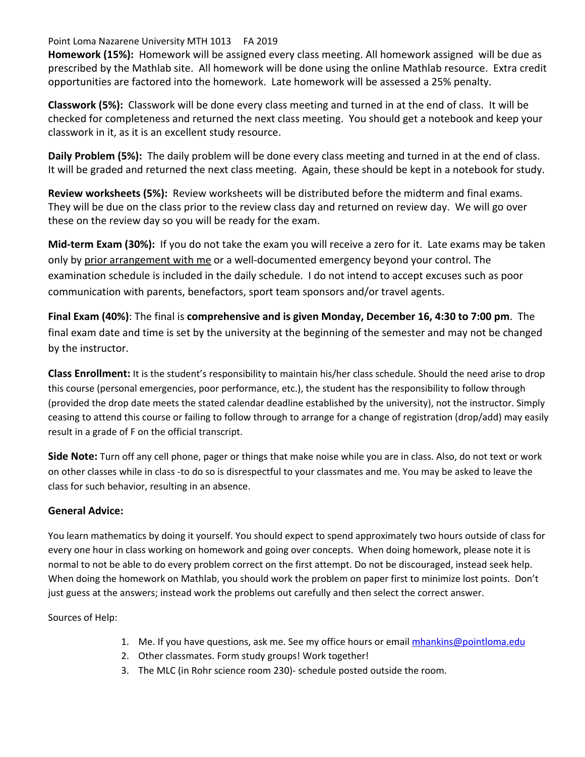Point Loma Nazarene University MTH 1013 FA 2019

**Homework (15%):** Homework will be assigned every class meeting. All homework assigned will be due as prescribed by the Mathlab site. All homework will be done using the online Mathlab resource. Extra credit opportunities are factored into the homework. Late homework will be assessed a 25% penalty.

**Classwork (5%):** Classwork will be done every class meeting and turned in at the end of class. It will be checked for completeness and returned the next class meeting. You should get a notebook and keep your classwork in it, as it is an excellent study resource.

**Daily Problem (5%):** The daily problem will be done every class meeting and turned in at the end of class. It will be graded and returned the next class meeting. Again, these should be kept in a notebook for study.

**Review worksheets (5%):** Review worksheets will be distributed before the midterm and final exams. They will be due on the class prior to the review class day and returned on review day. We will go over these on the review day so you will be ready for the exam.

**Mid-term Exam (30%):** If you do not take the exam you will receive a zero for it. Late exams may be taken only by prior arrangement with me or a well-documented emergency beyond your control. The examination schedule is included in the daily schedule. I do not intend to accept excuses such as poor communication with parents, benefactors, sport team sponsors and/or travel agents.

**Final Exam (40%)**: The final is **comprehensive and is given Monday, December 16, 4:30 to 7:00 pm**. The final exam date and time is set by the university at the beginning of the semester and may not be changed by the instructor.

**Class Enrollment:** It is the student's responsibility to maintain his/her class schedule. Should the need arise to drop this course (personal emergencies, poor performance, etc.), the student has the responsibility to follow through (provided the drop date meets the stated calendar deadline established by the university), not the instructor. Simply ceasing to attend this course or failing to follow through to arrange for a change of registration (drop/add) may easily result in a grade of F on the official transcript.

**Side Note:** Turn off any cell phone, pager or things that make noise while you are in class. Also, do not text or work on other classes while in class -to do so is disrespectful to your classmates and me. You may be asked to leave the class for such behavior, resulting in an absence.

## **General Advice:**

You learn mathematics by doing it yourself. You should expect to spend approximately two hours outside of class for every one hour in class working on homework and going over concepts. When doing homework, please note it is normal to not be able to do every problem correct on the first attempt. Do not be discouraged, instead seek help. When doing the homework on Mathlab, you should work the problem on paper first to minimize lost points. Don't just guess at the answers; instead work the problems out carefully and then select the correct answer.

Sources of Help:

- 1. Me. If you have questions, ask me. See my office hours or email [mhankins@pointloma.edu](mailto:mhankins@pointloma.edu)
- 2. Other classmates. Form study groups! Work together!
- 3. The MLC (in Rohr science room 230)- schedule posted outside the room.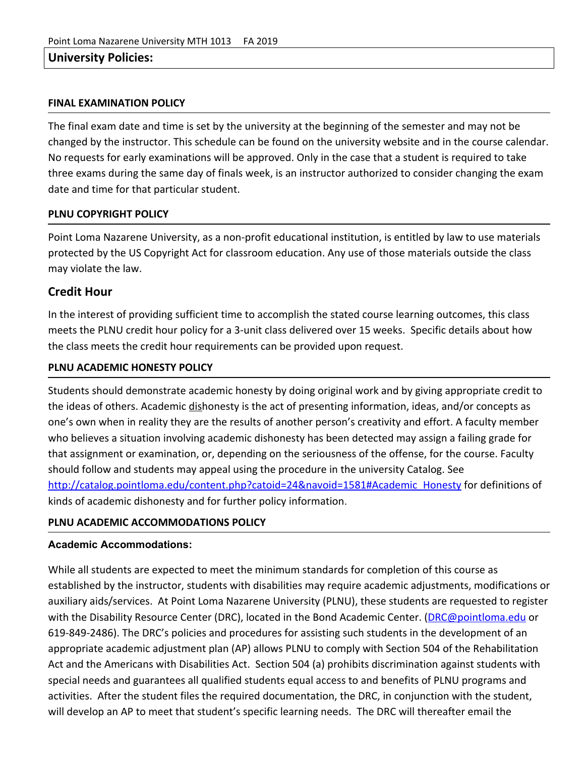## **University Policies:**

### **FINAL EXAMINATION POLICY**

The final exam date and time is set by the university at the beginning of the semester and may not be changed by the instructor. This schedule can be found on the university website and in the course calendar. No requests for early examinations will be approved. Only in the case that a student is required to take three exams during the same day of finals week, is an instructor authorized to consider changing the exam date and time for that particular student.

### **PLNU COPYRIGHT POLICY**

Point Loma Nazarene University, as a non-profit educational institution, is entitled by law to use materials protected by the US Copyright Act for classroom education. Any use of those materials outside the class may violate the law.

## **Credit Hour**

In the interest of providing sufficient time to accomplish the stated course learning outcomes, this class meets the PLNU credit hour policy for a 3-unit class delivered over 15 weeks. Specific details about how the class meets the credit hour requirements can be provided upon request.

#### **PLNU ACADEMIC HONESTY POLICY**

Students should demonstrate academic honesty by doing original work and by giving appropriate credit to the ideas of others. Academic dishonesty is the act of presenting information, ideas, and/or concepts as one's own when in reality they are the results of another person's creativity and effort. A faculty member who believes a situation involving academic dishonesty has been detected may assign a failing grade for that assignment or examination, or, depending on the seriousness of the offense, for the course. Faculty should follow and students may appeal using the procedure in the university Catalog. See [http://catalog.pointloma.edu/content.php?catoid=24&navoid=1581#Academic\\_Honesty](http://catalog.pointloma.edu/content.php?catoid=24&navoid=1581#Academic_Honesty) for definitions of kinds of academic dishonesty and for further policy information.

### **PLNU ACADEMIC ACCOMMODATIONS POLICY**

#### **Academic Accommodations:**

While all students are expected to meet the minimum standards for completion of this course as established by the instructor, students with disabilities may require academic adjustments, modifications or auxiliary aids/services. At Point Loma Nazarene University (PLNU), these students are requested to register with the Disability Resource Center (DRC), located in the Bond Academic Center. ([DRC@pointloma.edu](mailto:DRC@pointloma.edu) or 619-849-2486). The DRC's policies and procedures for assisting such students in the development of an appropriate academic adjustment plan (AP) allows PLNU to comply with Section 504 of the Rehabilitation Act and the Americans with Disabilities Act. Section 504 (a) prohibits discrimination against students with special needs and guarantees all qualified students equal access to and benefits of PLNU programs and activities. After the student files the required documentation, the DRC, in conjunction with the student, will develop an AP to meet that student's specific learning needs. The DRC will thereafter email the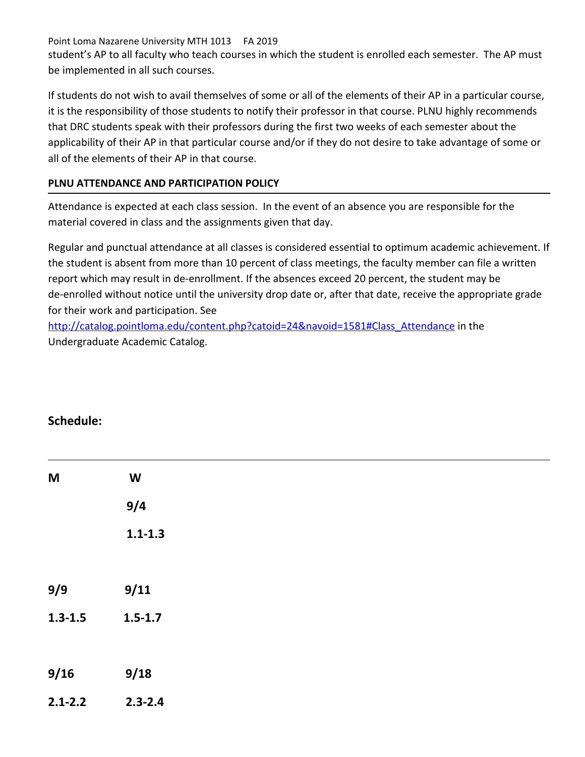Point Loma Nazarene University MTH 1013 FA 2019 student's AP to all faculty who teach courses in which the student is enrolled each semester. The AP must be implemented in all such courses.

If students do not wish to avail themselves of some or all of the elements of their AP in a particular course, it is the responsibility of those students to notify their professor in that course. PLNU highly recommends that DRC students speak with their professors during the first two weeks of each semester about the applicability of their AP in that particular course and/or if they do not desire to take advantage of some or all of the elements of their AP in that course.

## **PLNU ATTENDANCE AND PARTICIPATION POLICY**

Attendance is expected at each class session. In the event of an absence you are responsible for the material covered in class and the assignments given that day.

Regular and punctual attendance at all classes is considered essential to optimum academic achievement. If the student is absent from more than 10 percent of class meetings, the faculty member can file a written report which may result in de-enrollment. If the absences exceed 20 percent, the student may be de-enrolled without notice until the university drop date or, after that date, receive the appropriate grade for their work and participation. See

[http://catalog.pointloma.edu/content.php?catoid=24&navoid=1581#Class\\_Attendance](http://catalog.pointloma.edu/content.php?catoid=24&navoid=1581#Class_Attendance) in the Undergraduate Academic Catalog.

## **Schedule:**

| $M$         | $\boldsymbol{\mathsf{W}}$ |  |  |  |
|-------------|---------------------------|--|--|--|
|             | 9/4                       |  |  |  |
|             | $1.1 - 1.3$               |  |  |  |
|             |                           |  |  |  |
| 9/9         | 9/11                      |  |  |  |
| $1.3 - 1.5$ | $1.5 - 1.7$               |  |  |  |
|             |                           |  |  |  |
| 9/16        | 9/18                      |  |  |  |
| $2.1 - 2.2$ | $2.3 - 2.4$               |  |  |  |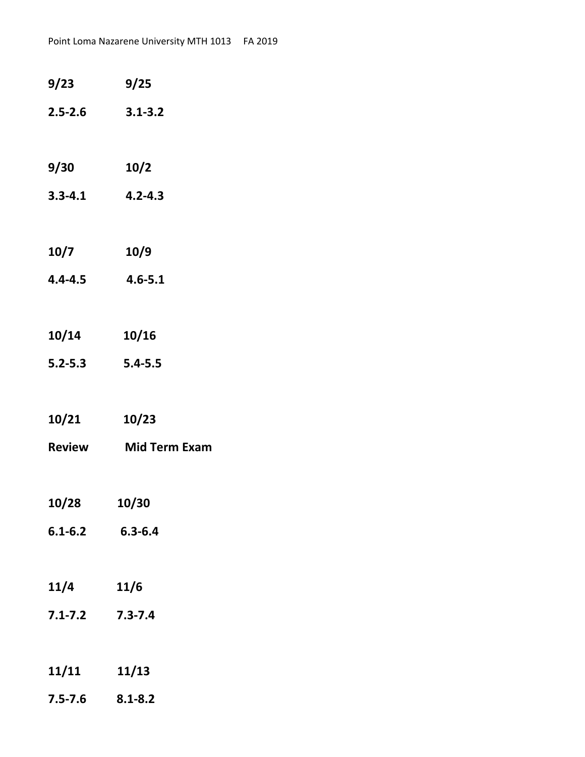| 9/23                | 9/25                    |
|---------------------|-------------------------|
|                     | $2.5 - 2.6$ $3.1 - 3.2$ |
|                     |                         |
| 9/30                | 10/2                    |
| $3.3 - 4.1$         | $4.2 - 4.3$             |
|                     |                         |
| 10/7                | 10/9                    |
| $4.4 - 4.5$         | $4.6 - 5.1$             |
|                     |                         |
| 10/14               | 10/16                   |
| $5.2 - 5.3$         | $5.4 - 5.5$             |
|                     |                         |
| 10/21               | 10/23                   |
| <b>Review</b>       | <b>Mid Term Exam</b>    |
|                     |                         |
| 10/28               | 10/30                   |
| $6.1 - 6.2$         | $6.3 - 6.4$             |
|                     |                         |
| 11/4                | 11/6                    |
| $7.1 - 7.2$         | $7.3 - 7.4$             |
|                     |                         |
| 11/11               | 11/13                   |
| $7.5 - 7.6$ 8.1-8.2 |                         |